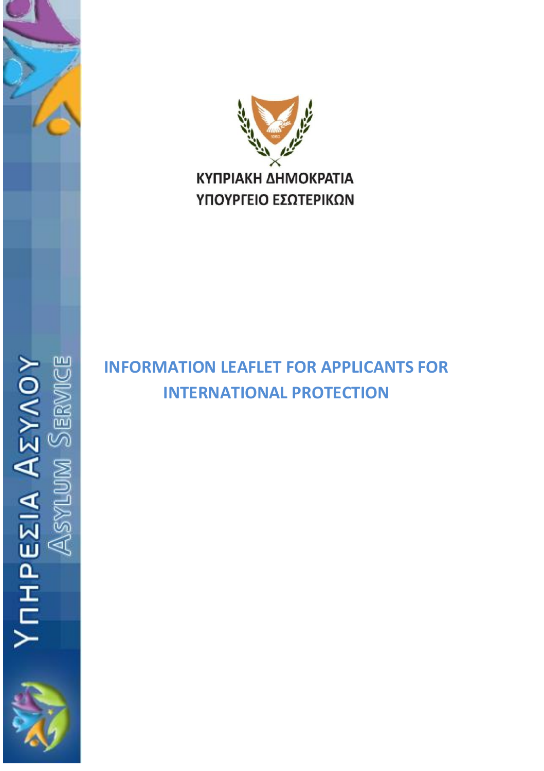



# **INFORMATION LEAFLET FOR APPLICANTS FOR INTERNATIONAL PROTECTION**

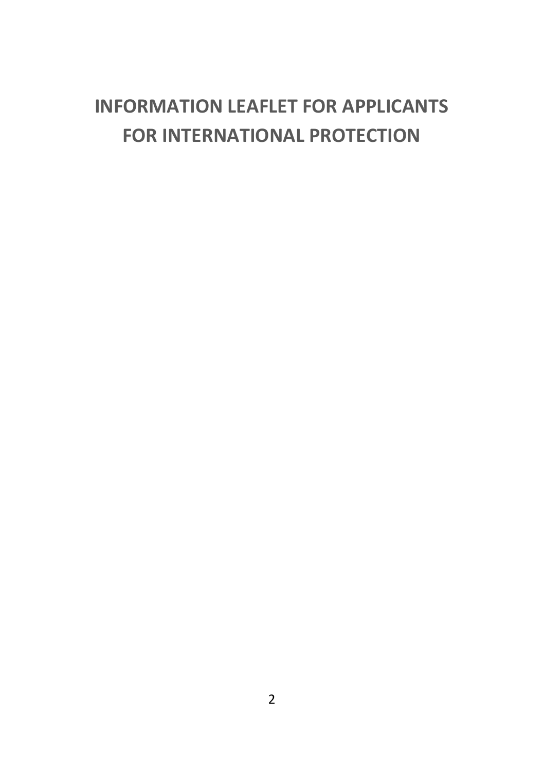# **INFORMATION LEAFLET FOR APPLICANTS FOR INTERNATIONAL PROTECTION**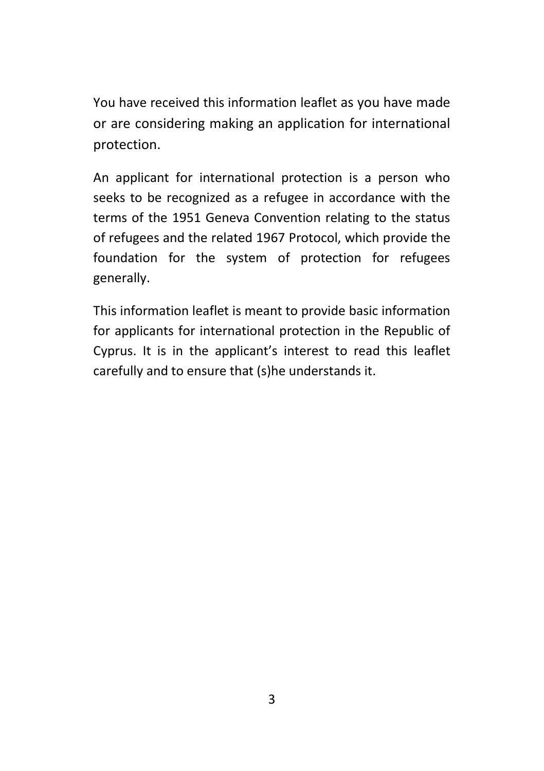You have received this information leaflet as you have made or are considering making an application for international protection.

An applicant for international protection is a person who seeks to be recognized as a refugee in accordance with the terms of the 1951 Geneva Convention relating to the status of refugees and the related 1967 Protocol, which provide the foundation for the system of protection for refugees generally.

This information leaflet is meant to provide basic information for applicants for international protection in the Republic of Cyprus. It is in the applicant's interest to read this leaflet carefully and to ensure that (s)he understands it.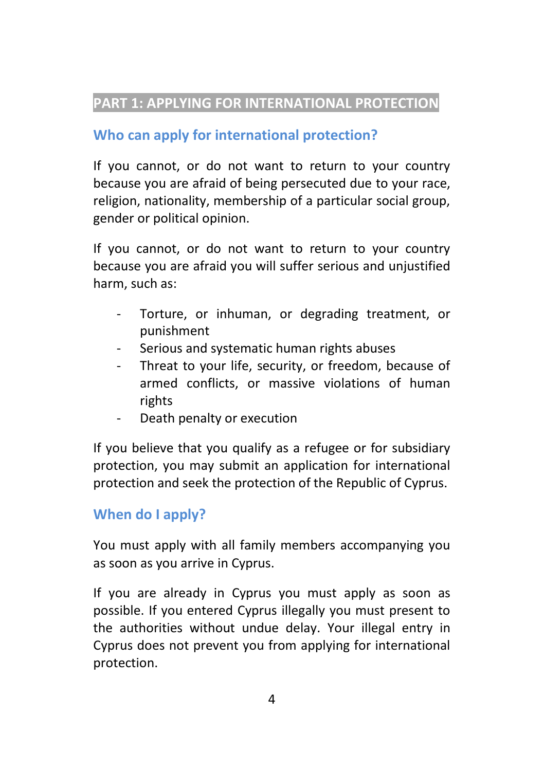### **PART 1: APPLYING FOR INTERNATIONAL PROTECTION**

### **Who can apply for international protection?**

If you cannot, or do not want to return to your country because you are afraid of being persecuted due to your race, religion, nationality, membership of a particular social group, gender or political opinion.

If you cannot, or do not want to return to your country because you are afraid you will suffer serious and unjustified harm, such as:

- Torture, or inhuman, or degrading treatment, or punishment
- Serious and systematic human rights abuses
- Threat to your life, security, or freedom, because of armed conflicts, or massive violations of human rights
- Death penalty or execution

If you believe that you qualify as a refugee or for subsidiary protection, you may submit an application for international protection and seek the protection of the Republic of Cyprus.

### **When do I apply?**

You must apply with all family members accompanying you as soon as you arrive in Cyprus.

If you are already in Cyprus you must apply as soon as possible. If you entered Cyprus illegally you must present to the authorities without undue delay. Your illegal entry in Cyprus does not prevent you from applying for international protection.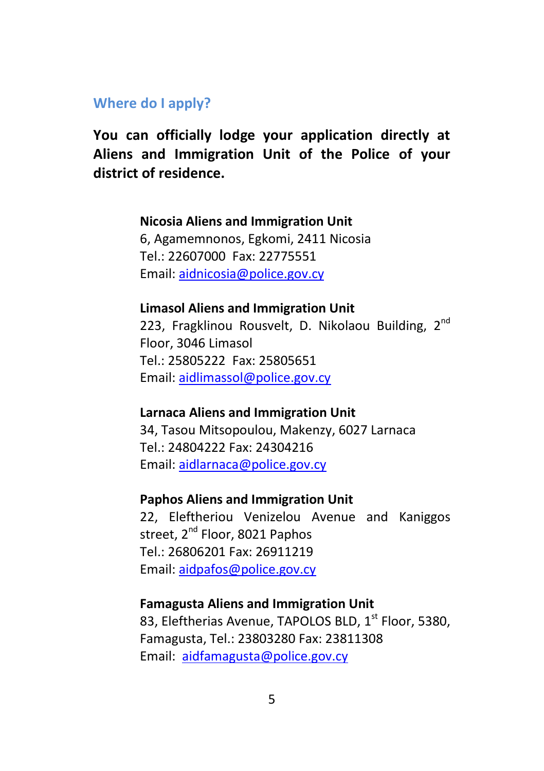#### **Where do I apply?**

**You can officially lodge your application directly at Aliens and Immigration Unit of the Police of your district of residence.**

> **Nicosia Aliens and Immigration Unit** 6, Agamemnonos, Egkomi, 2411 Nicosia Tel.: 22607000 Fax: 22775551 Email: [aidnicosia@police.gov.cy](mailto:aidnicosia@police.gov.cy)

#### **Limasol Aliens and Immigration Unit**

223, Fragklinou Rousvelt, D. Nikolaou Building. 2<sup>nd</sup> Floor, 3046 Limasol Tel.: 25805222 Fax: 25805651 Email: [aidlimassol@police.gov.cy](mailto:aidlimassol@police.gov.cy)

#### **Larnaca Aliens and Immigration Unit**

34, Tasou Mitsopoulou, Makenzy, 6027 Larnaca Tel.: 24804222 Fax: 24304216 Email: [aidlarnaca@police.gov.cy](mailto:aidlarnaca@police.gov.cy)

#### **Paphos Aliens and Immigration Unit**

22, Eleftheriou Venizelou Avenue and Kaniggos street, 2<sup>nd</sup> Floor, 8021 Paphos Tel.: 26806201 Fax: 26911219 Email: [aidpafos@police.gov.cy](mailto:aidpafos@police.gov.cy)

#### **Famagusta Aliens and Immigration Unit**

83, Eleftherias Avenue, TAPOLOS BLD, 1<sup>st</sup> Floor, 5380, Famagusta, Tel.: 23803280 Fax: 23811308 Email: [aidfamagusta@police.gov.cy](mailto:aidfamagusta@police.gov.cy)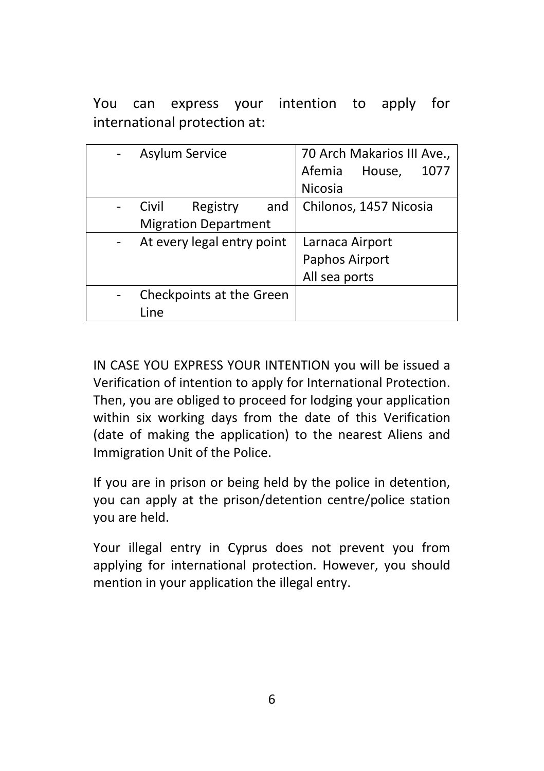You can express your intention to apply for international protection at:

| Asylum Service                                          | 70 Arch Makarios III Ave.,<br>Afemia House,<br>1077<br>Nicosia |
|---------------------------------------------------------|----------------------------------------------------------------|
| Civil<br>Registry<br>and<br><b>Migration Department</b> | Chilonos, 1457 Nicosia                                         |
| At every legal entry point                              | Larnaca Airport<br>Paphos Airport<br>All sea ports             |
| Checkpoints at the Green<br><b>line</b>                 |                                                                |

IN CASE YOU EXPRESS YOUR INTENTION you will be issued a Verification of intention to apply for International Protection. Then, you are obliged to proceed for lodging your application within six working days from the date of this Verification (date of making the application) to the nearest Aliens and Immigration Unit of the Police.

If you are in prison or being held by the police in detention, you can apply at the prison/detention centre/police station you are held.

Your illegal entry in Cyprus does not prevent you from applying for international protection. However, you should mention in your application the illegal entry.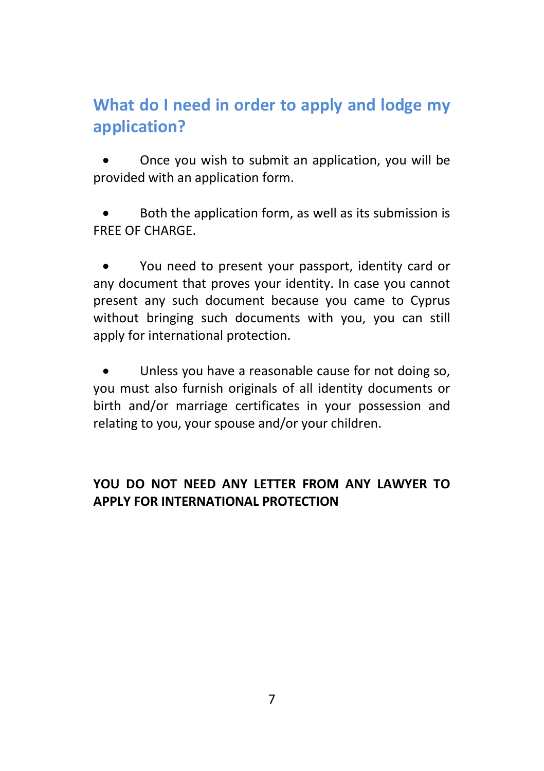## **What do I need in order to apply and lodge my application?**

 Once you wish to submit an application, you will be provided with an application form.

 Both the application form, as well as its submission is FREE OF CHARGE.

 You need to present your passport, identity card or any document that proves your identity. In case you cannot present any such document because you came to Cyprus without bringing such documents with you, you can still apply for international protection.

 Unless you have a reasonable cause for not doing so, you must also furnish originals of all identity documents or birth and/or marriage certificates in your possession and relating to you, your spouse and/or your children.

### **YOU DO NOT NEED ANY LETTER FROM ANY LAWYER TO APPLY FOR INTERNATIONAL PROTECTION**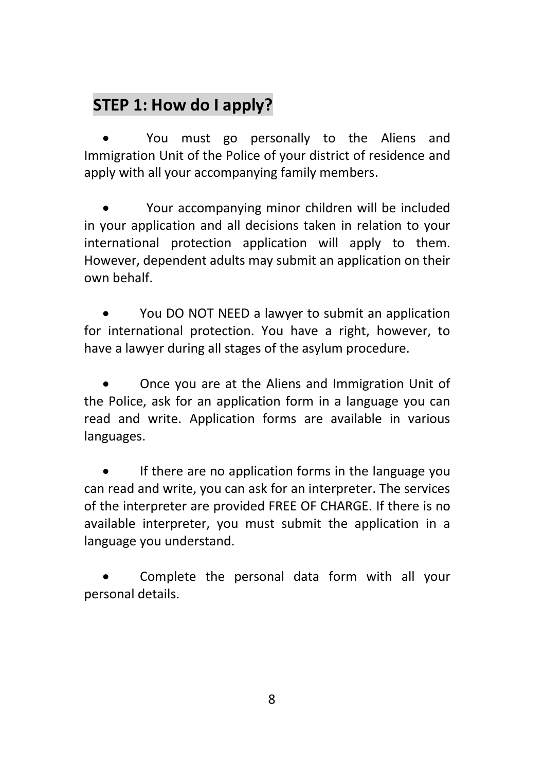## **STEP 1: How do I apply?**

 You must go personally to the Aliens and Immigration Unit of the Police of your district of residence and apply with all your accompanying family members.

 Your accompanying minor children will be included in your application and all decisions taken in relation to your international protection application will apply to them. However, dependent adults may submit an application on their own behalf.

 You DO NOT NEED a lawyer to submit an application for international protection. You have a right, however, to have a lawyer during all stages of the asylum procedure.

 Once you are at the Aliens and Immigration Unit of the Police, ask for an application form in a language you can read and write. Application forms are available in various languages.

 If there are no application forms in the language you can read and write, you can ask for an interpreter. The services of the interpreter are provided FREE OF CHARGE. If there is no available interpreter, you must submit the application in a language you understand.

 Complete the personal data form with all your personal details.

8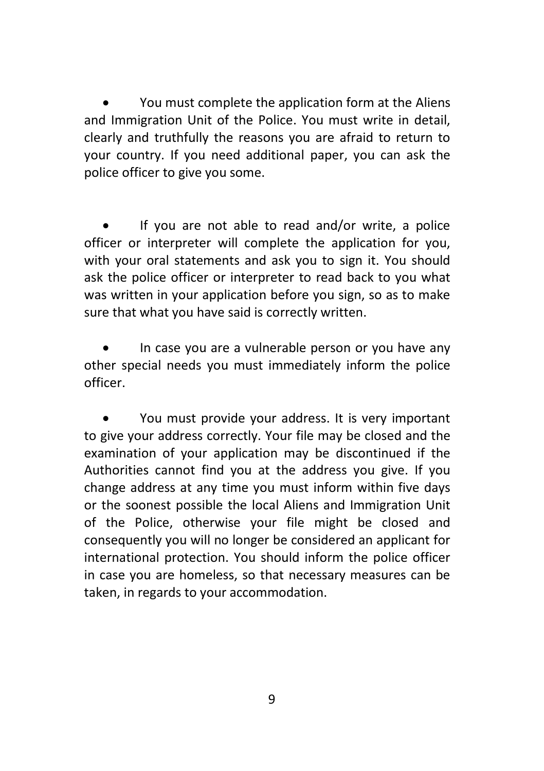You must complete the application form at the Aliens and Immigration Unit of the Police. You must write in detail, clearly and truthfully the reasons you are afraid to return to your country. If you need additional paper, you can ask the police officer to give you some.

 If you are not able to read and/or write, a police officer or interpreter will complete the application for you, with your oral statements and ask you to sign it. You should ask the police officer or interpreter to read back to you what was written in your application before you sign, so as to make sure that what you have said is correctly written.

 In case you are a vulnerable person or you have any other special needs you must immediately inform the police officer.

 You must provide your address. It is very important to give your address correctly. Your file may be closed and the examination of your application may be discontinued if the Authorities cannot find you at the address you give. If you change address at any time you must inform within five days or the soonest possible the local Aliens and Immigration Unit of the Police, otherwise your file might be closed and consequently you will no longer be considered an applicant for international protection. You should inform the police officer in case you are homeless, so that necessary measures can be taken, in regards to your accommodation.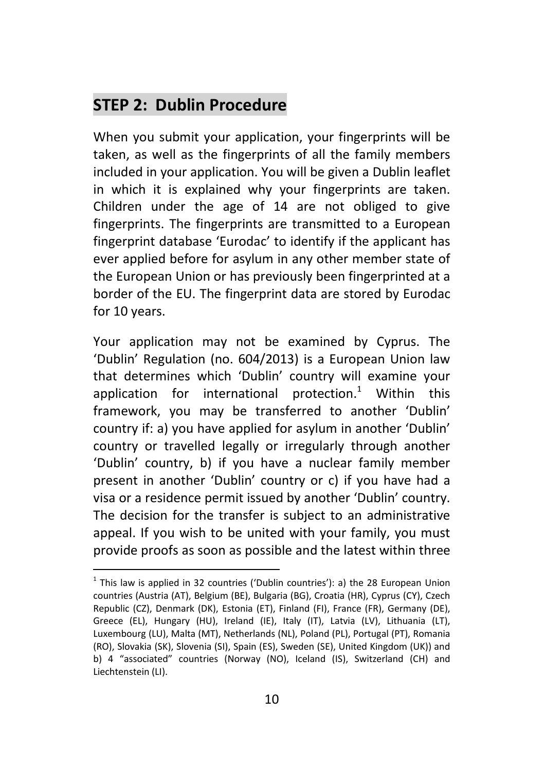### **STEP 2: Dublin Procedure**

1

When you submit your application, your fingerprints will be taken, as well as the fingerprints of all the family members included in your application. You will be given a Dublin leaflet in which it is explained why your fingerprints are taken. Children under the age of 14 are not obliged to give fingerprints. The fingerprints are transmitted to a European fingerprint database 'Eurodac' to identify if the applicant has ever applied before for asylum in any other member state of the European Union or has previously been fingerprinted at a border of the EU. The fingerprint data are stored by Eurodac for 10 years.

Your application may not be examined by Cyprus. The 'Dublin' Regulation (no. 604/2013) is a European Union law that determines which 'Dublin' country will examine your application for international protection.<sup>1</sup> Within this framework, you may be transferred to another 'Dublin' country if: a) you have applied for asylum in another 'Dublin' country or travelled legally or irregularly through another 'Dublin' country, b) if you have a nuclear family member present in another 'Dublin' country or c) if you have had a visa or a residence permit issued by another 'Dublin' country. The decision for the transfer is subject to an administrative appeal. If you wish to be united with your family, you must provide proofs as soon as possible and the latest within three

 $<sup>1</sup>$  This law is applied in 32 countries ('Dublin countries'): a) the 28 European Union</sup> countries (Austria (AT), Belgium (BE), Bulgaria (BG), Croatia (HR), Cyprus (CY), Czech Republic (CZ), Denmark (DK), Estonia (ET), Finland (FI), France (FR), Germany (DE), Greece (EL), Hungary (HU), Ireland (IE), Italy (IT), Latvia (LV), Lithuania (LT), Luxembourg (LU), Malta (MT), Netherlands (NL), Poland (PL), Portugal (PT), Romania (RO), Slovakia (SK), Slovenia (SI), Spain (ES), Sweden (SE), United Kingdom (UK)) and b) 4 "associated" countries (Norway (NO), Iceland (IS), Switzerland (CH) and Liechtenstein (LI).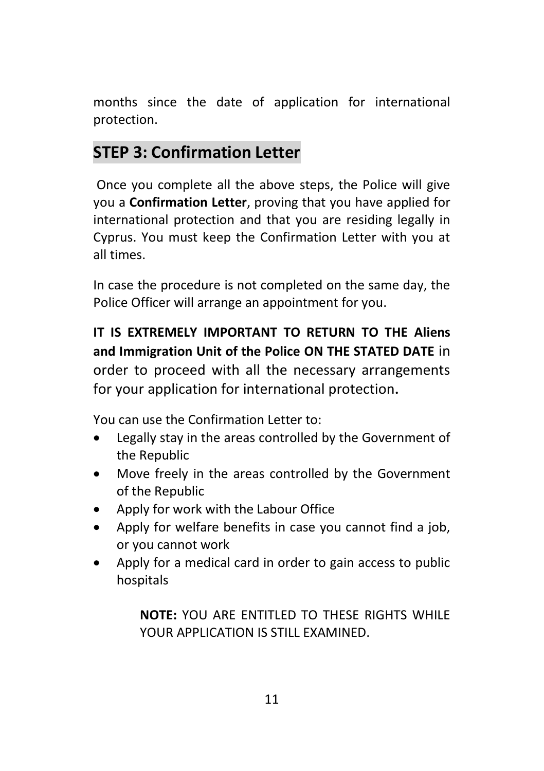months since the date of application for international protection.

## **STEP 3: Confirmation Letter**

Once you complete all the above steps, the Police will give you a **Confirmation Letter**, proving that you have applied for international protection and that you are residing legally in Cyprus. You must keep the Confirmation Letter with you at all times.

In case the procedure is not completed on the same day, the Police Officer will arrange an appointment for you.

**IT IS EXTREMELY IMPORTANT TO RETURN TO THE Aliens and Immigration Unit of the Police ON THE STATED DATE** in order to proceed with all the necessary arrangements for your application for international protection**.**

You can use the Confirmation Letter to:

- Legally stay in the areas controlled by the Government of the Republic
- Move freely in the areas controlled by the Government of the Republic
- Apply for work with the Labour Office
- Apply for welfare benefits in case you cannot find a job, or you cannot work
- Apply for a medical card in order to gain access to public hospitals

**NOTE:** YOU ARE ENTITLED TO THESE RIGHTS WHILE YOUR APPLICATION IS STILL EXAMINED.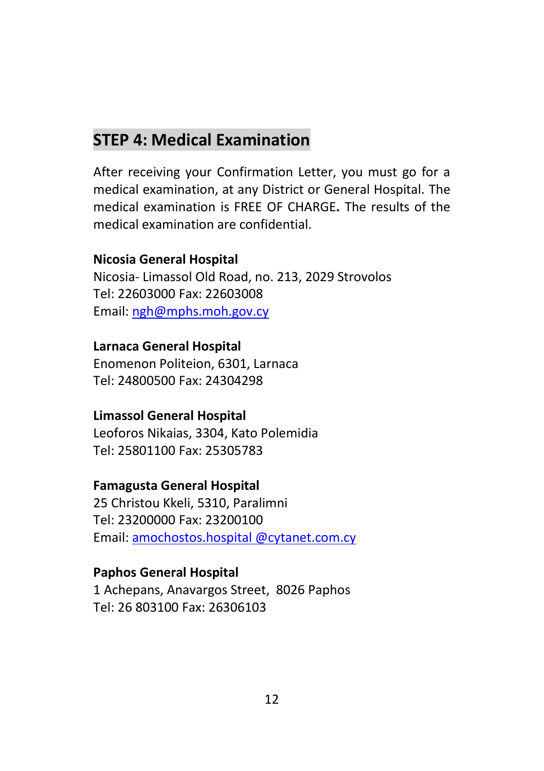## **STEP 4: Medical Examination**

After receiving your Confirmation Letter, you must go for a medical examination, at any District or General Hospital. The medical examination is FREE OF CHARGE**.** The results of the medical examination are confidential.

#### **Nicosia General Hospital**

Nicosia- Limassol Old Road, no. 213, 2029 Strovolos Tel: 22603000 Fax: 22603008 Email: [ngh@mphs.moh.gov.cy](mailto:ngh@mphs.moh.gov.cy)

### **Larnaca General Hospital**

Enomenon Politeion, 6301, Larnaca Tel: 24800500 Fax: 24304298

### **Limassol General Hospital**

Leoforos Nikaias, 3304, Kato Polemidia Tel: 25801100 Fax: 25305783

#### **Famagusta General Hospital**

25 Christou Kkeli, 5310, Paralimni Tel: 23200000 Fax: 23200100 Email: amochostos.hospital @cytanet.com.cy

### **Paphos General Hospital**

1 Achepans, Anavargos Street, 8026 Paphos Tel: 26 803100 Fax: 26306103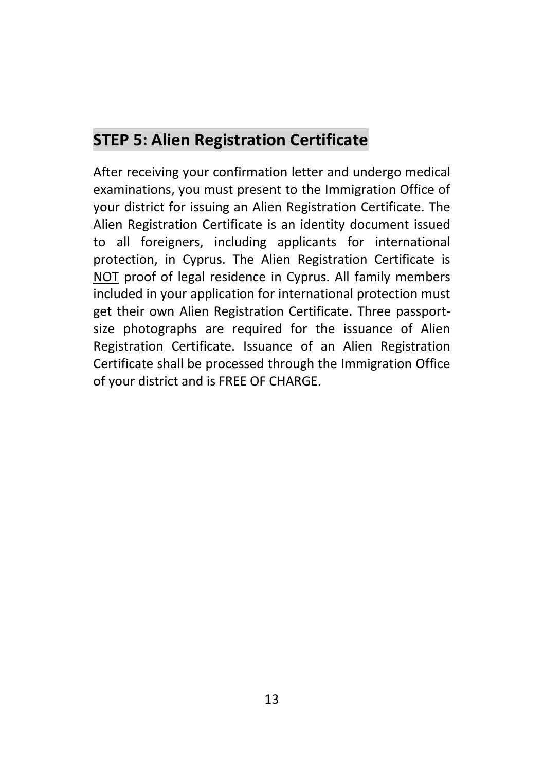## **STEP 5: Alien Registration Certificate**

After receiving your confirmation letter and undergo medical examinations, you must present to the Immigration Office of your district for issuing an Alien Registration Certificate. The Alien Registration Certificate is an identity document issued to all foreigners, including applicants for international protection, in Cyprus. The Alien Registration Certificate is NOT proof of legal residence in Cyprus. All family members included in your application for international protection must get their own Alien Registration Certificate. Three passportsize photographs are required for the issuance of Alien Registration Certificate. Issuance of an Alien Registration Certificate shall be processed through the Immigration Office of your district and is FREE OF CHARGE.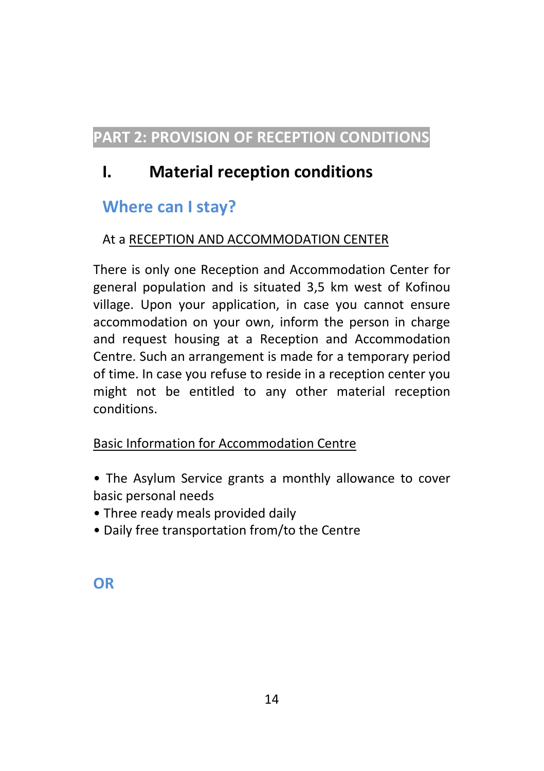## **PART 2: PROVISION OF RECEPTION CONDITIONS**

## **I. Material reception conditions**

### **Where can I stay?**

### At a RΕCEPTION AND ACCOMMODATION CENTER

There is only one Reception and Accommodation Center for general population and is situated 3,5 km west of Kofinou village. Upon your application, in case you cannot ensure accommodation on your own, inform the person in charge and request housing at a Reception and Accommodation Centre. Such an arrangement is made for a temporary period of time. In case you refuse to reside in a reception center you might not be entitled to any other material reception conditions.

### Basic Information for Accommodation Centre

- The Asylum Service grants a monthly allowance to cover basic personal needs
- Three ready meals provided daily
- Daily free transportation from/to the Centre

### **OR**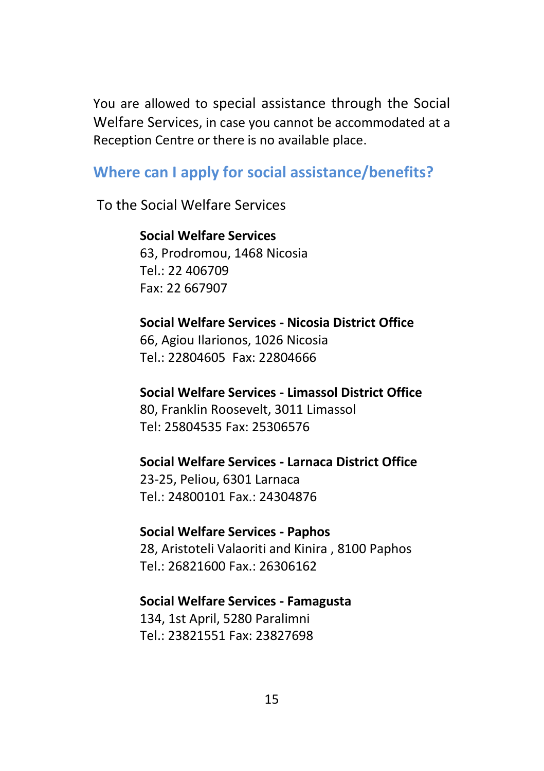You are allowed to special assistance through the Social Welfare Services, in case you cannot be accommodated at a Reception Centre or there is no available place.

### **Where can I apply for social assistance/benefits?**

To the Social Welfare Services

**Social Welfare Services** 63, Prodromou, 1468 Nicosia Tel.: 22 406709 Fax: 22 667907

### **Social Welfare Services - Nicosia District Office** 66, Agiou Ilarionos, 1026 Nicosia

Tel.: 22804605 Fax: 22804666

#### **Social Welfare Services - Limassol District Office** 80, Franklin Roosevelt, 3011 Limassol Tel: 25804535 Fax: 25306576

### **Social Welfare Services - Larnaca District Office**

23-25, Peliou, 6301 Larnaca Tel.: 24800101 Fax.: 24304876

### **Social Welfare Services - Paphos**

28, Aristoteli Valaoriti and Kinira , 8100 Paphos Tel.: 26821600 Fax.: 26306162

### **Social Welfare Services - Famagusta**

134, 1st April, 5280 Paralimni Tel.: 23821551 Fax: 23827698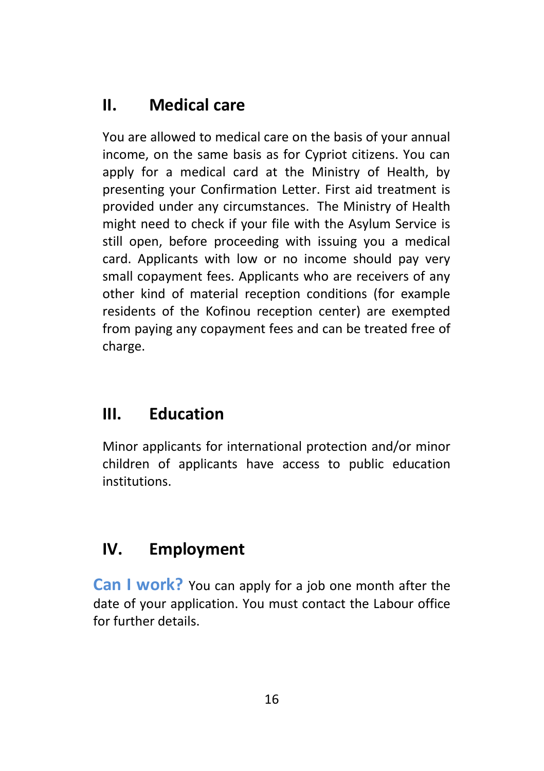## **II. Medical care**

You are allowed to medical care on the basis of your annual income, on the same basis as for Cypriot citizens. You can apply for a medical card at the Ministry of Health, by presenting your Confirmation Letter. First aid treatment is provided under any circumstances. The Ministry of Health might need to check if your file with the Asylum Service is still open, before proceeding with issuing you a medical card. Applicants with low or no income should pay very small copayment fees. Applicants who are receivers of any other kind of material reception conditions (for example residents of the Kofinou reception center) are exempted from paying any copayment fees and can be treated free of charge.

## **III. Education**

Minor applicants for international protection and/or minor children of applicants have access to public education institutions.

## **IV. Employment**

**Can I work?** You can apply for a job one month after the date of your application. You must contact the Labour office for further details.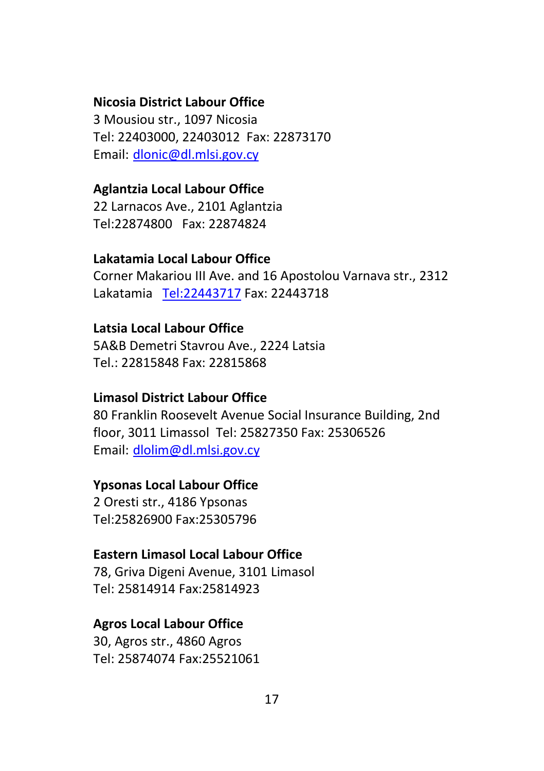#### **Nicosia District Labour Office**

3 Mousiou str., 1097 Nicosia Tel: 22403000, 22403012 Fax: 22873170 Email: [dlonic@dl.mlsi.gov.cy](mailto:dlonic@dl.mlsi.gov.cy)

#### **Aglantzia Local Labour Office**

22 Larnacos Ave., 2101 Aglantzia Tel:22874800 Fax: 22874824

#### **Lakatamia Local Labour Office**

Corner Makariou III Ave. and 16 Apostolou Varnava str., 2312 Lakatamia [Tel:22443717](tel:22443717) Fax: 22443718

#### **Latsia Local Labour Office**

5A&B Demetri Stavrou Ave., 2224 Latsia Tel.: 22815848 Fax: 22815868

#### **Limasol District Labour Office**

80 Franklin Roosevelt Avenue Social Insurance Building, 2nd floor, 3011 Limassol Tel: 25827350 Fax: 25306526 Email: [dlolim@dl.mlsi.gov.cy](mailto:dlolim@dl.mlsi.gov.cy)

#### **Ypsonas Local Labour Office**

2 Oresti str., 4186 Ypsonas [Tel:25826900](tel:25826900) Fax:25305796

#### **Eastern Limasol Local Labour Office**

78, Griva Digeni Avenue, 3101 Limasol Tel: 25814914 Fax:25814923

#### **Agros Local Labour Office**

30, Agros str., 4860 Agros Tel: 25874074 Fax:25521061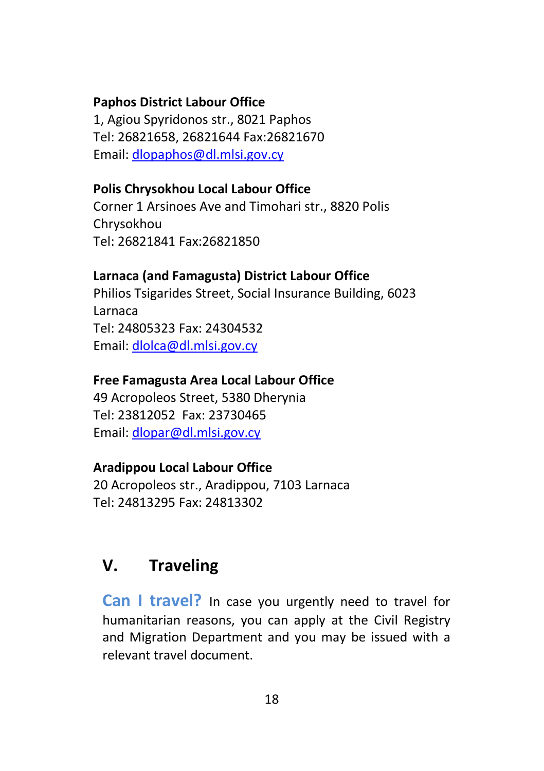#### **Paphos District Labour Office**

1, Agiou Spyridonos str., 8021 Paphos Tel: 26821658, 26821644 Fax:26821670 Email: [dlopaphos@dl.mlsi.gov.cy](mailto:dlopaphos@dl.mlsi.gov.cy) 

#### **Polis Chrysokhou Local Labour Office**

Corner 1 Arsinoes Ave and Timohari str., 8820 Polis Chrysokhou Tel: 26821841 Fax:26821850

#### **Larnaca (and Famagusta) District Labour Office**

Philios Tsigarides Street, Social Insurance Building, 6023 Larnaca Tel: 24805323 Fax: 24304532 Email: [dlolca@dl.mlsi.gov.cy](mailto:dlolca@dl.mlsi.gov.cy)

#### **Free Famagusta Area Local Labour Office**

49 Acropoleos Street, 5380 Dherynia Tel: 23812052 Fax: 23730465 Email: [dlopar@dl.mlsi.gov.cy](mailto:dlopar@dl.mlsi.gov.cy)

#### **Aradippou Local Labour Office**

20 Acropoleos str., Aradippou, 7103 Larnaca Tel: 24813295 Fax: 24813302

## **V. Traveling**

**Can I travel?** In case you urgently need to travel for humanitarian reasons, you can apply at the Civil Registry and Migration Department and you may be issued with a relevant travel document.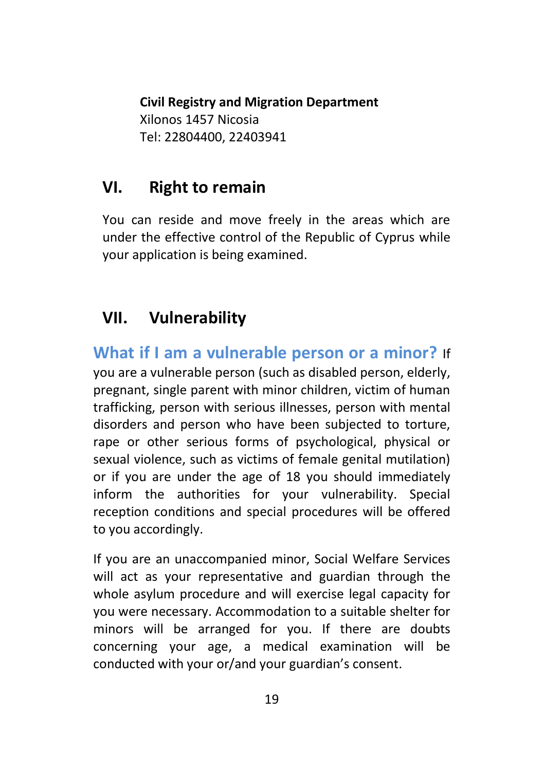**Civil Registry and Migration Department** Xilonos 1457 Nicosia Tel: 22804400, 22403941

## **VI. Right to remain**

You can reside and move freely in the areas which are under the effective control of the Republic of Cyprus while your application is being examined.

## **VII. Vulnerability**

**What if I am a vulnerable person or a minor?** If you are a vulnerable person (such as disabled person, elderly, pregnant, single parent with minor children, victim of human trafficking, person with serious illnesses, person with mental disorders and person who have been subjected to torture, rape or other serious forms of psychological, physical or sexual violence, such as victims of female genital mutilation) or if you are under the age of 18 you should immediately inform the authorities for your vulnerability. Special reception conditions and special procedures will be offered to you accordingly.

If you are an unaccompanied minor, Social Welfare Services will act as your representative and guardian through the whole asylum procedure and will exercise legal capacity for you were necessary. Accommodation to a suitable shelter for minors will be arranged for you. If there are doubts concerning your age, a medical examination will be conducted with your or/and your guardian's consent.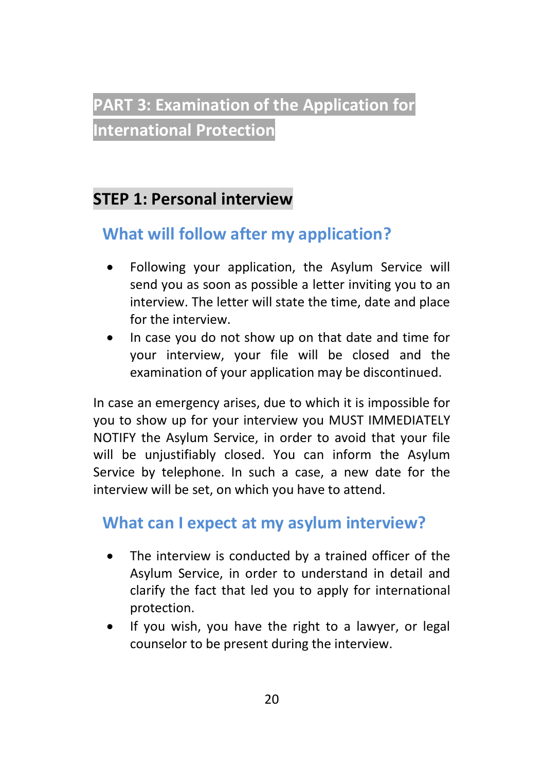## **PART 3: Examination of the Application for International Protection**

## **STEP 1: Personal interview**

## **What will follow after my application?**

- Following your application, the Asylum Service will send you as soon as possible a letter inviting you to an interview. The letter will state the time, date and place for the interview.
- In case you do not show up on that date and time for your interview, your file will be closed and the examination of your application may be discontinued.

In case an emergency arises, due to which it is impossible for you to show up for your interview you MUST IMMEDIATELY NOTIFY the Asylum Service, in order to avoid that your file will be unjustifiably closed. You can inform the Asylum Service by telephone. In such a case, a new date for the interview will be set, on which you have to attend.

## **What can I expect at my asylum interview?**

- The interview is conducted by a trained officer of the Asylum Service, in order to understand in detail and clarify the fact that led you to apply for international protection.
- If you wish, you have the right to a lawyer, or legal counselor to be present during the interview.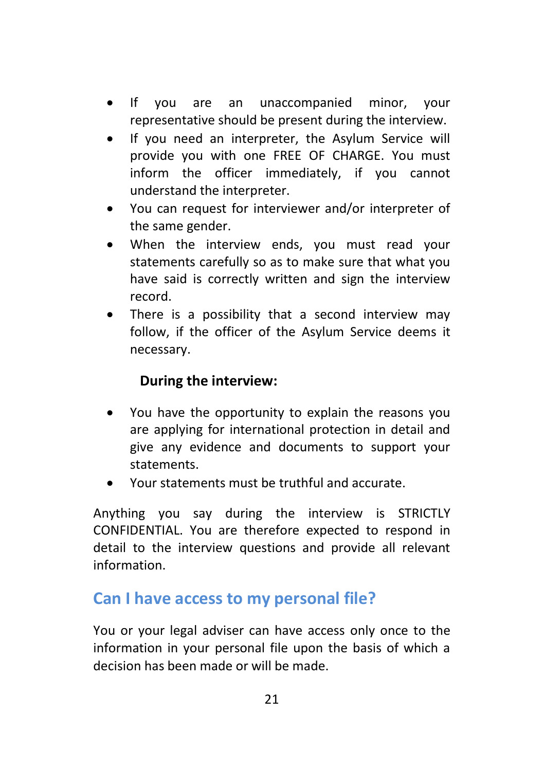- If you are an unaccompanied minor, your representative should be present during the interview.
- If you need an interpreter, the Asylum Service will provide you with one FREE OF CHARGE. You must inform the officer immediately, if you cannot understand the interpreter.
- You can request for interviewer and/or interpreter of the same gender.
- When the interview ends, you must read your statements carefully so as to make sure that what you have said is correctly written and sign the interview record.
- There is a possibility that a second interview may follow, if the officer of the Asylum Service deems it necessary.

### **During the interview:**

- You have the opportunity to explain the reasons you are applying for international protection in detail and give any evidence and documents to support your statements.
- Your statements must be truthful and accurate.

Anything you say during the interview is STRICTLY CONFIDENTIAL. You are therefore expected to respond in detail to the interview questions and provide all relevant information.

## **Can I have access to my personal file?**

You or your legal adviser can have access only once to the information in your personal file upon the basis of which a decision has been made or will be made.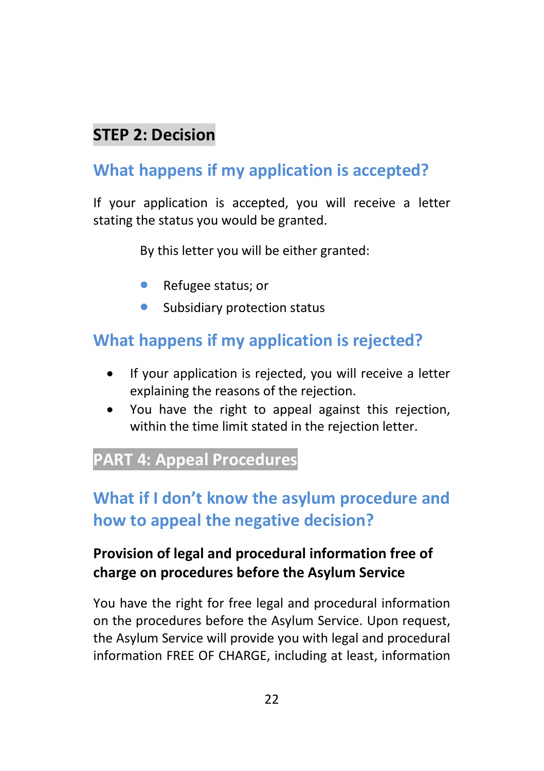## **STEP 2: Decision**

## **What happens if my application is accepted?**

If your application is accepted, you will receive a letter stating the status you would be granted.

By this letter you will be either granted:

- Refugee status; or
- Subsidiary protection status

## **What happens if my application is rejected?**

- If your application is rejected, you will receive a letter explaining the reasons of the rejection.
- You have the right to appeal against this rejection, within the time limit stated in the rejection letter.

## **PART 4: Appeal Procedures**

## **What if I don't know the asylum procedure and how to appeal the negative decision?**

### **Provision of legal and procedural information free of charge on procedures before the Asylum Service**

You have the right for free legal and procedural information on the procedures before the Asylum Service. Upon request, the Asylum Service will provide you with legal and procedural information FREE OF CHARGE, including at least, information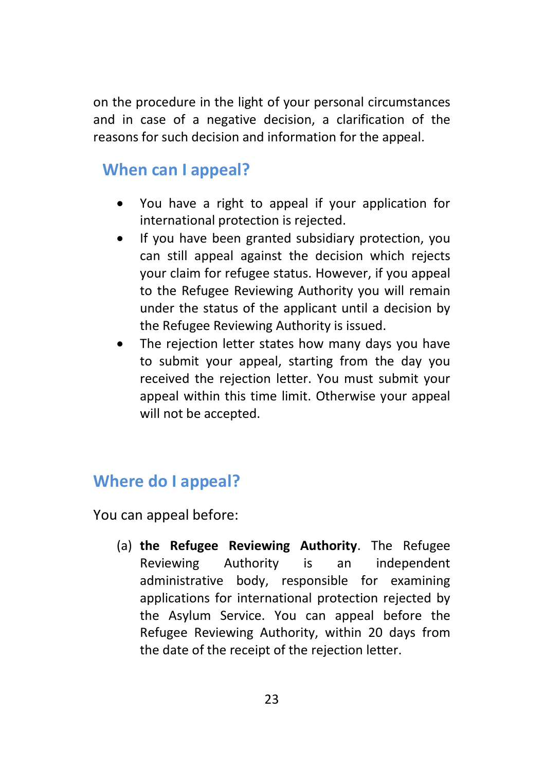on the procedure in the light of your personal circumstances and in case of a negative decision, a clarification of the reasons for such decision and information for the appeal.

## **When can I appeal?**

- You have a right to appeal if your application for international protection is rejected.
- If you have been granted subsidiary protection, you can still appeal against the decision which rejects your claim for refugee status. However, if you appeal to the Refugee Reviewing Authority you will remain under the status of the applicant until a decision by the Refugee Reviewing Authority is issued.
- The rejection letter states how many days you have to submit your appeal, starting from the day you received the rejection letter. You must submit your appeal within this time limit. Otherwise your appeal will not be accepted.

## **Where do I appeal?**

You can appeal before:

(a) **the Refugee Reviewing Authority**. The Refugee Reviewing Authority is an independent administrative body, responsible for examining applications for international protection rejected by the Asylum Service. You can appeal before the Refugee Reviewing Authority, within 20 days from the date of the receipt of the rejection letter.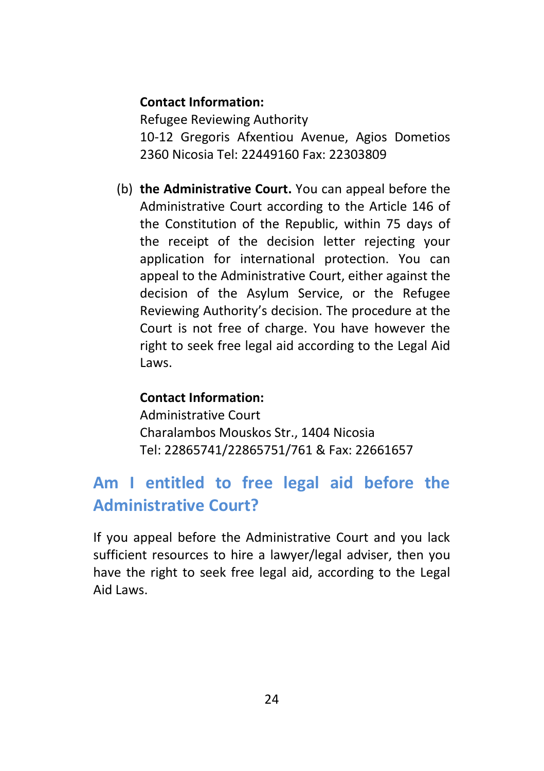### **Contact Information:**

Refugee Reviewing Authority 10-12 Gregoris Afxentiou Avenue, Agios Dometios 2360 Nicosia Tel: 22449160 Fax: 22303809

(b) **the Administrative Court.** You can appeal before the Administrative Court according to the Article 146 of the Constitution of the Republic, within 75 days of the receipt of the decision letter rejecting your application for international protection. You can appeal to the Administrative Court, either against the decision of the Asylum Service, or the Refugee Reviewing Authority's decision. The procedure at the Court is not free of charge. You have however the right to seek free legal aid according to the Legal Aid Laws.

### **Contact Information:**

Administrative Court Charalambos Mouskos Str., 1404 Nicosia Tel: 22865741/22865751/761 & Fax: 22661657

## **Am I entitled to free legal aid before the Administrative Court?**

If you appeal before the Administrative Court and you lack sufficient resources to hire a lawyer/legal adviser, then you have the right to seek free legal aid, according to the Legal Aid Laws.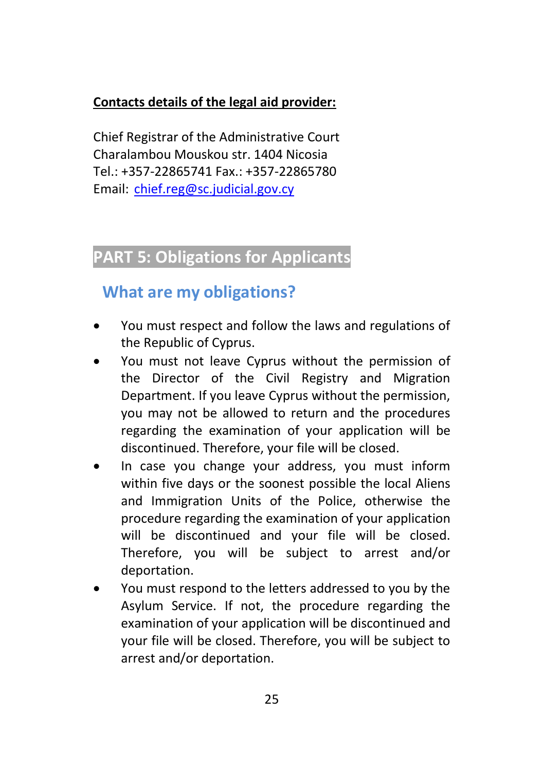### **Contacts details of the legal aid provider:**

Chief Registrar of the Administrative Court Charalambou Mouskou str. 1404 Nicosia Tel.: +357-22865741 Fax.: +357-22865780 Email: [chief.reg@sc.judicial.gov.cy](mailto:chief.reg@sc.judicial.gov.cy)

## **PART 5: Obligations for Applicants**

## **What are my obligations?**

- You must respect and follow the laws and regulations of the Republic of Cyprus.
- You must not leave Cyprus without the permission of the Director of the Civil Registry and Migration Department. If you leave Cyprus without the permission, you may not be allowed to return and the procedures regarding the examination of your application will be discontinued. Therefore, your file will be closed.
- In case you change your address, you must inform within five days or the soonest possible the local Aliens and Immigration Units of the Police, otherwise the procedure regarding the examination of your application will be discontinued and your file will be closed. Therefore, you will be subject to arrest and/or deportation.
- You must respond to the letters addressed to you by the Asylum Service. If not, the procedure regarding the examination of your application will be discontinued and your file will be closed. Therefore, you will be subject to arrest and/or deportation.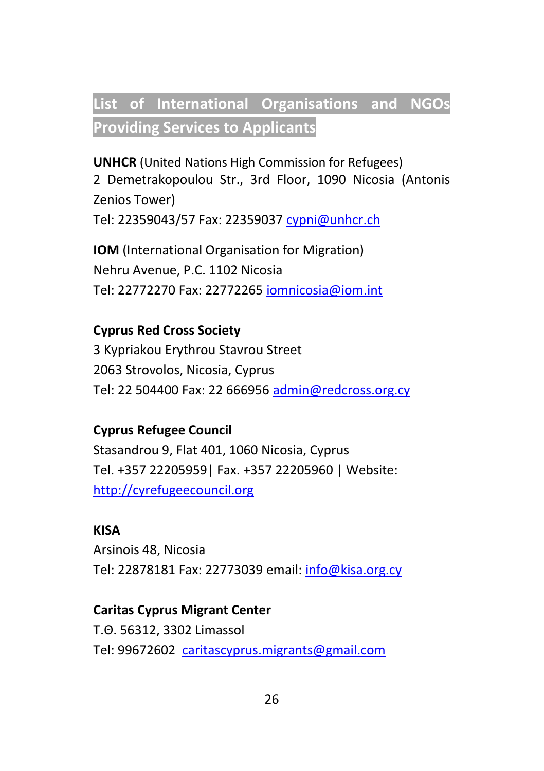## **List of International Organisations and NGOs Providing Services to Applicants**

**UNHCR** (United Nations High Commission for Refugees) 2 Demetrakopoulou Str., 3rd Floor, 1090 Nicosia (Antonis Zenios Tower) Tel: 22359043/57 Fax: 22359037 [cypni@unhcr.ch](mailto:cypni@unhcr.ch)

**IOM** (International Organisation for Migration) Nehru Avenue, P.C. 1102 Nicosia Tel: 22772270 Fax: 2277226[5 iomnicosia@iom.int](mailto:iomnicosia@iom.int)

### **Cyprus Red Cross Society**

3 Kypriakou Erythrou Stavrou Street 2063 Strovolos, Nicosia, Cyprus Tel: 22 504400 Fax: 22 666956 [admin@redcross.org.cy](mailto:admin@redcross.org.cy)

**Cyprus Refugee Council** Stasandrou 9, Flat 401, 1060 Nicosia, Cyprus Tel. +357 22205959| Fax. +357 22205960 | Website: [http://cyrefugeecouncil.org](http://cyrefugeecouncil.org/)

#### **KISA**

Arsinois 48, Nicosia Tel: 22878181 Fax: 22773039 email[: info@kisa.org.cy](mailto:info@kisa.org.cy)

#### **Caritas Cyprus Migrant Center**

Τ.Θ. 56312, 3302 Limassol Tel: 99672602 [caritascyprus.migrants@gmail.com](mailto:caritascyprus.migrants@gmail.com)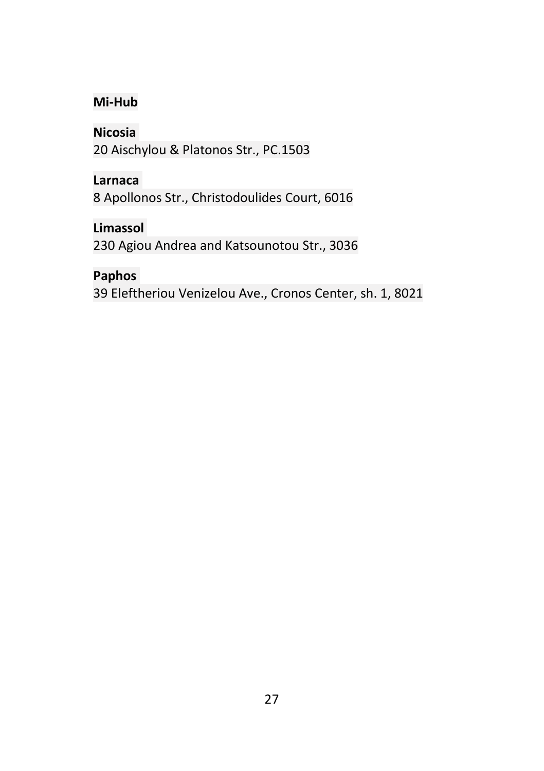### **Mi-Hub**

**Nicosia** 20 Aischylou & Platonos Str., PC.1503

**Larnaca** 8 Apollonos Str., Christodoulides Court, 6016

**Limassol** 230 Agiou Andrea and Katsounotou Str., 3036

**Paphos** 39 Eleftheriou Venizelou Ave., Cronos Center, sh. 1, 8021